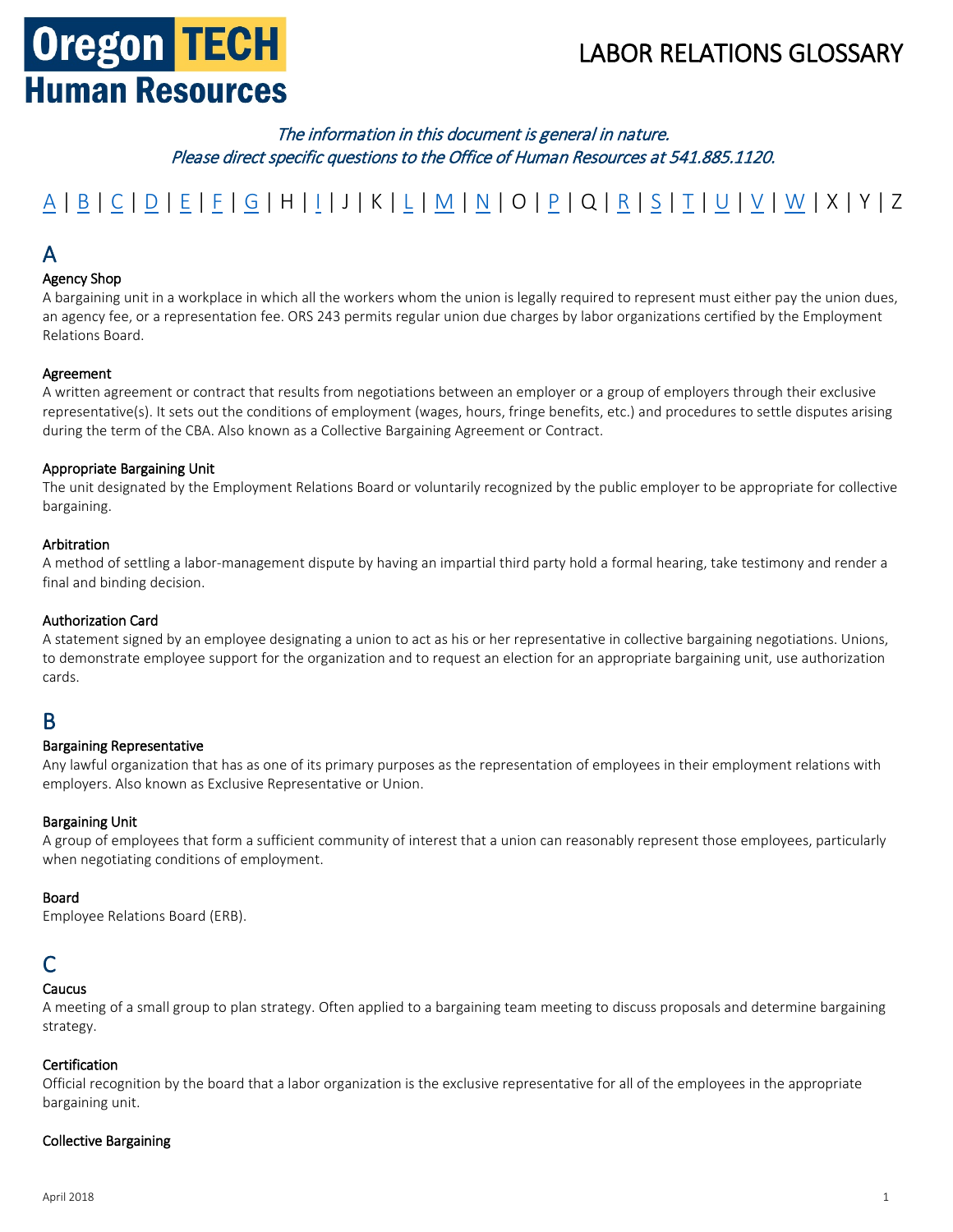# **Oregon TECH Human Resources**

## LABOR RELATIONS GLOSSARY

### The information in this document is general in nature. Please direct specific questions to the Office of Human Resources at 541.885.1120.

# [A](#page-0-0) | [B](#page-0-1) | [C](#page-0-2) | [D](#page-1-0) | [E](#page-1-1) | [F](#page-2-0) | [G](#page-2-1) | H | [I](#page-2-2) | J | K | [L](#page-2-3) | [M](#page-3-0) | [N](#page-3-1) | O | [P](#page-3-2) | Q | [R](#page-4-0) | [S](#page-4-1) | [T](#page-4-2) | [U](#page-4-3) | [V](#page-5-0) | [W](#page-5-1) | X | Y | Z

### <span id="page-0-0"></span>A

#### Agency Shop

A bargaining unit in a workplace in which all the workers whom the union is legally required to represent must either pay the union dues, an agency fee, or a representation fee. ORS 243 permits regular union due charges by labor organizations certified by the Employment Relations Board.

#### Agreement

A written agreement or contract that results from negotiations between an employer or a group of employers through their exclusive representative(s). It sets out the conditions of employment (wages, hours, fringe benefits, etc.) and procedures to settle disputes arising during the term of the CBA. Also known as a Collective Bargaining Agreement or Contract.

#### Appropriate Bargaining Unit

The unit designated by the Employment Relations Board or voluntarily recognized by the public employer to be appropriate for collective bargaining.

#### Arbitration

A method of settling a labor-management dispute by having an impartial third party hold a formal hearing, take testimony and render a final and binding decision.

#### Authorization Card

A statement signed by an employee designating a union to act as his or her representative in collective bargaining negotiations. Unions, to demonstrate employee support for the organization and to request an election for an appropriate bargaining unit, use authorization cards.

#### <span id="page-0-1"></span>B

#### Bargaining Representative

Any lawful organization that has as one of its primary purposes as the representation of employees in their employment relations with employers. Also known as Exclusive Representative or Union.

#### Bargaining Unit

A group of employees that form a sufficient community of interest that a union can reasonably represent those employees, particularly when negotiating conditions of employment.

#### Board

Employee Relations Board (ERB).

### <span id="page-0-2"></span>C

#### Caucus

A meeting of a small group to plan strategy. Often applied to a bargaining team meeting to discuss proposals and determine bargaining strategy.

#### Certification

Official recognition by the board that a labor organization is the exclusive representative for all of the employees in the appropriate bargaining unit.

#### Collective Bargaining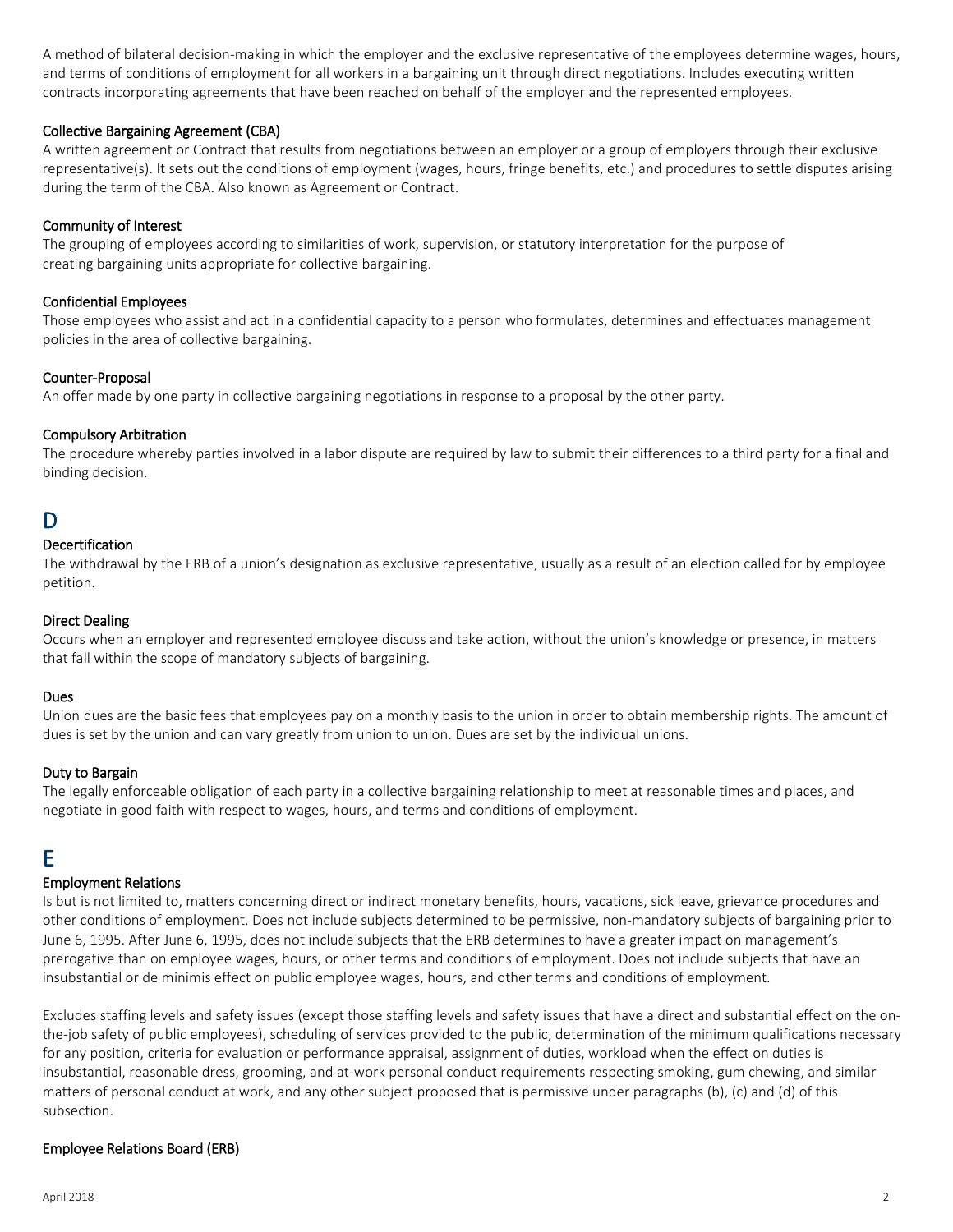A method of bilateral decision-making in which the employer and the exclusive representative of the employees determine wages, hours, and terms of conditions of employment for all workers in a bargaining unit through direct negotiations. Includes executing written contracts incorporating agreements that have been reached on behalf of the employer and the represented employees.

#### Collective Bargaining Agreement (CBA)

A written agreement or Contract that results from negotiations between an employer or a group of employers through their exclusive representative(s). It sets out the conditions of employment (wages, hours, fringe benefits, etc.) and procedures to settle disputes arising during the term of the CBA. Also known as Agreement or Contract.

#### Community of Interest

The grouping of employees according to similarities of work, supervision, or statutory interpretation for the purpose of creating bargaining units appropriate for collective bargaining.

#### Confidential Employees

Those employees who assist and act in a confidential capacity to a person who formulates, determines and effectuates management policies in the area of collective bargaining.

#### Counter-Proposal

An offer made by one party in collective bargaining negotiations in response to a proposal by the other party.

#### Compulsory Arbitration

The procedure whereby parties involved in a labor dispute are required by law to submit their differences to a third party for a final and binding decision.

### <span id="page-1-0"></span>D

#### Decertification

The withdrawal by the ERB of a union's designation as exclusive representative, usually as a result of an election called for by employee petition.

#### Direct Dealing

Occurs when an employer and represented employee discuss and take action, without the union's knowledge or presence, in matters that fall within the scope of mandatory subjects of bargaining.

#### Dues

Union dues are the basic fees that employees pay on a monthly basis to the union in order to obtain membership rights. The amount of dues is set by the union and can vary greatly from union to union. Dues are set by the individual unions.

#### Duty to Bargain

The legally enforceable obligation of each party in a collective bargaining relationship to meet at reasonable times and places, and negotiate in good faith with respect to wages, hours, and terms and conditions of employment.

### <span id="page-1-1"></span>E

#### Employment Relations

Is but is not limited to, matters concerning direct or indirect monetary benefits, hours, vacations, sick leave, grievance procedures and other conditions of employment. Does not include subjects determined to be permissive, non-mandatory subjects of bargaining prior to June 6, 1995. After June 6, 1995, does not include subjects that the ERB determines to have a greater impact on management's prerogative than on employee wages, hours, or other terms and conditions of employment. Does not include subjects that have an insubstantial or de minimis effect on public employee wages, hours, and other terms and conditions of employment.

Excludes staffing levels and safety issues (except those staffing levels and safety issues that have a direct and substantial effect on the onthe-job safety of public employees), scheduling of services provided to the public, determination of the minimum qualifications necessary for any position, criteria for evaluation or performance appraisal, assignment of duties, workload when the effect on duties is insubstantial, reasonable dress, grooming, and at-work personal conduct requirements respecting smoking, gum chewing, and similar matters of personal conduct at work, and any other subject proposed that is permissive under paragraphs (b), (c) and (d) of this subsection.

#### Employee Relations Board (ERB)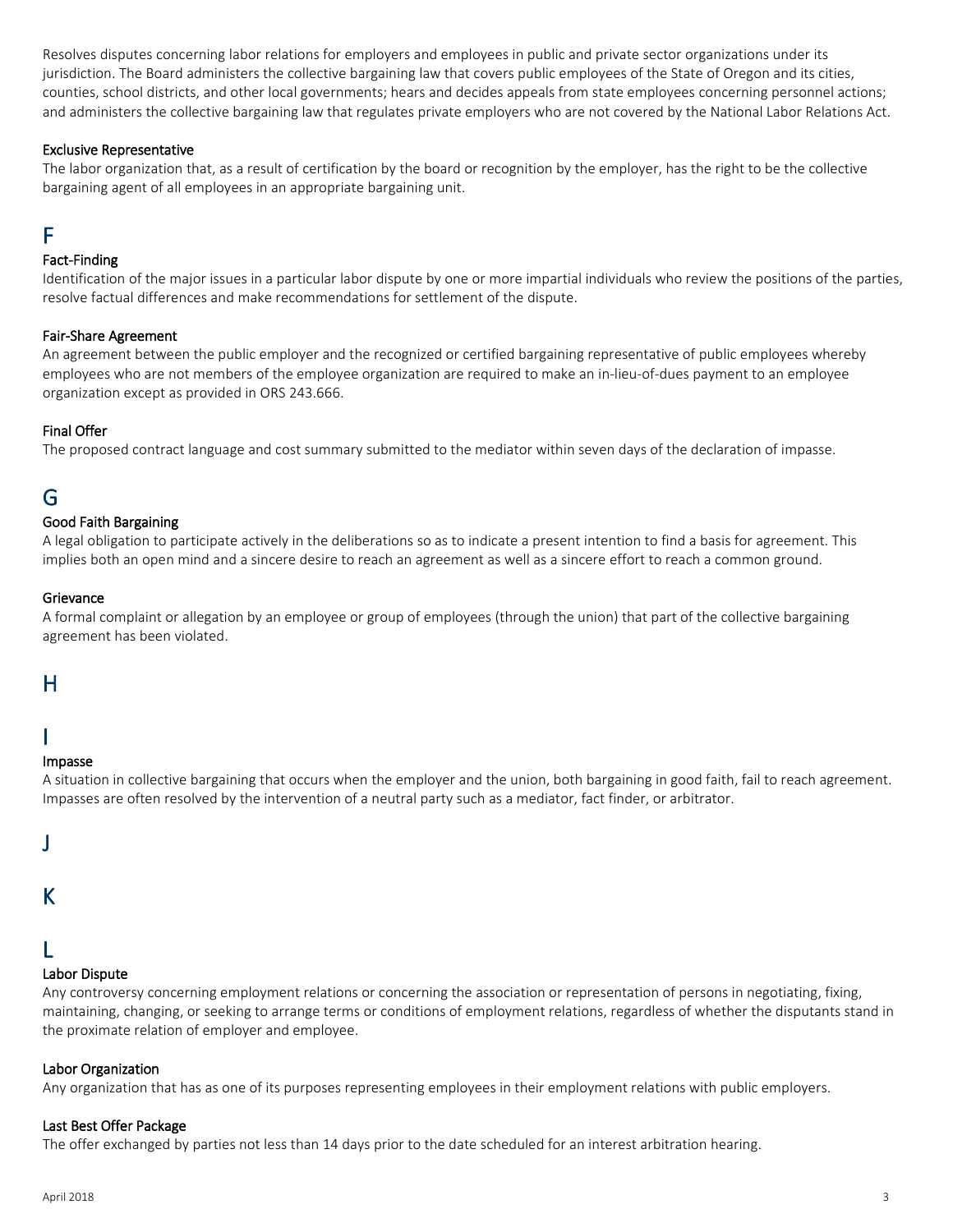Resolves disputes concerning labor relations for employers and employees in public and private sector organizations under its jurisdiction. The Board administers the collective bargaining law that covers public employees of the State of Oregon and its cities, counties, school districts, and other local governments; hears and decides appeals from state employees concerning personnel actions; and administers the collective bargaining law that regulates private employers who are not covered by the National Labor Relations Act.

#### Exclusive Representative

The labor organization that, as a result of certification by the board or recognition by the employer, has the right to be the collective bargaining agent of all employees in an appropriate bargaining unit.

### <span id="page-2-0"></span>F

#### Fact-Finding

Identification of the major issues in a particular labor dispute by one or more impartial individuals who review the positions of the parties, resolve factual differences and make recommendations for settlement of the dispute.

#### Fair-Share Agreement

An agreement between the public employer and the recognized or certified bargaining representative of public employees whereby employees who are not members of the employee organization are required to make an in-lieu-of-dues payment to an employee organization except as provided in ORS 243.666.

#### Final Offer

The proposed contract language and cost summary submitted to the mediator within seven days of the declaration of impasse.

### <span id="page-2-1"></span>G

#### Good Faith Bargaining

A legal obligation to participate actively in the deliberations so as to indicate a present intention to find a basis for agreement. This implies both an open mind and a sincere desire to reach an agreement as well as a sincere effort to reach a common ground.

#### Grievance

A formal complaint or allegation by an employee or group of employees (through the union) that part of the collective bargaining agreement has been violated.

#### H

### <span id="page-2-2"></span>I

#### Impasse

A situation in collective bargaining that occurs when the employer and the union, both bargaining in good faith, fail to reach agreement. Impasses are often resolved by the intervention of a neutral party such as a mediator, fact finder, or arbitrator.

|    | r |  |
|----|---|--|
| ×. | ٠ |  |
|    |   |  |

### K

### <span id="page-2-3"></span>L

#### Labor Dispute

Any controversy concerning employment relations or concerning the association or representation of persons in negotiating, fixing, maintaining, changing, or seeking to arrange terms or conditions of employment relations, regardless of whether the disputants stand in the proximate relation of employer and employee.

#### Labor Organization

Any organization that has as one of its purposes representing employees in their employment relations with public employers.

#### Last Best Offer Package

The offer exchanged by parties not less than 14 days prior to the date scheduled for an interest arbitration hearing.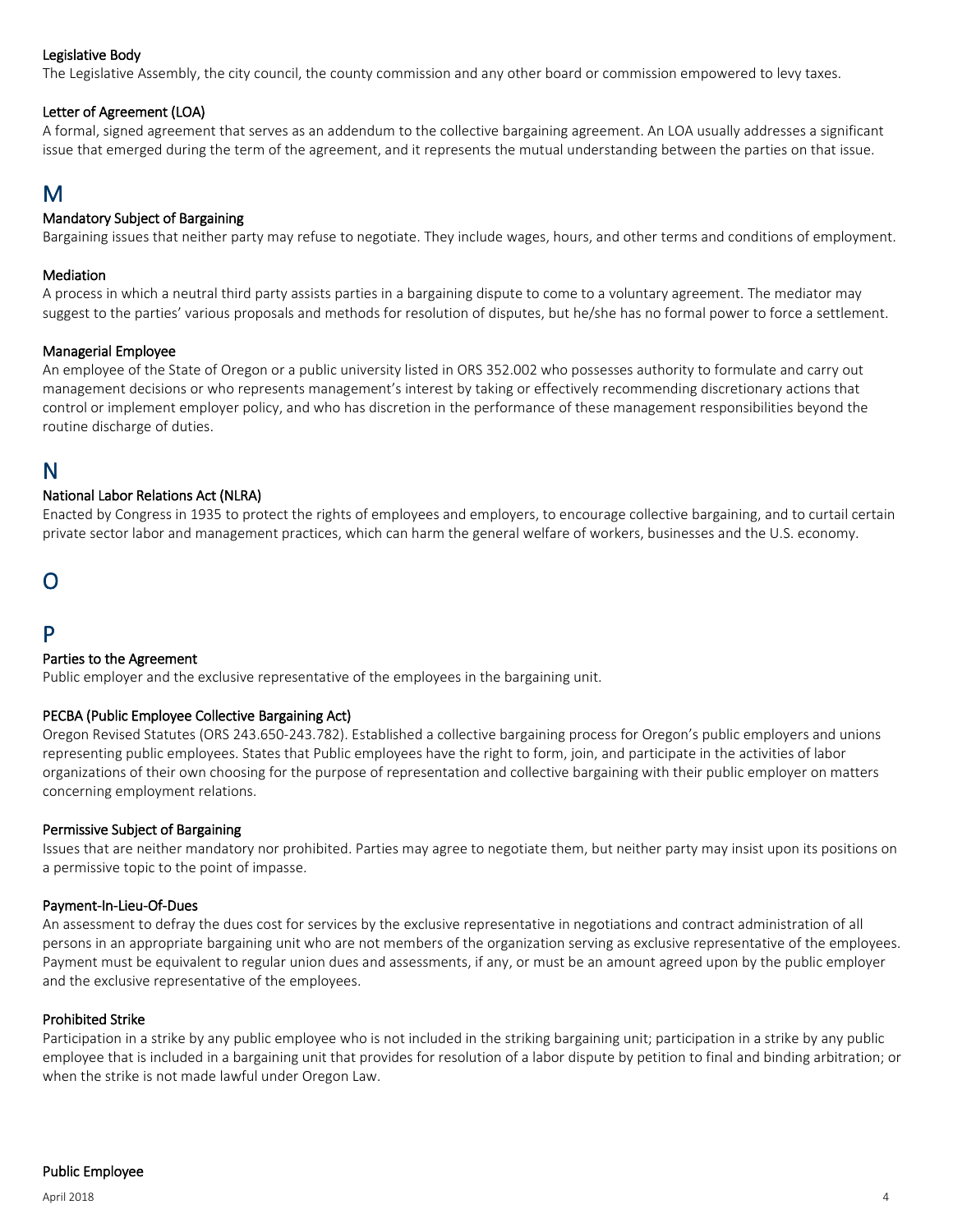#### Legislative Body

The Legislative Assembly, the city council, the county commission and any other board or commission empowered to levy taxes.

#### Letter of Agreement (LOA)

A formal, signed agreement that serves as an addendum to the collective bargaining agreement. An LOA usually addresses a significant issue that emerged during the term of the agreement, and it represents the mutual understanding between the parties on that issue.

### <span id="page-3-0"></span>M

#### Mandatory Subject of Bargaining

Bargaining issues that neither party may refuse to negotiate. They include wages, hours, and other terms and conditions of employment.

#### Mediation

A process in which a neutral third party assists parties in a bargaining dispute to come to a voluntary agreement. The mediator may suggest to the parties' various proposals and methods for resolution of disputes, but he/she has no formal power to force a settlement.

#### Managerial Employee

An employee of the State of Oregon or a public university listed in ORS 352.002 who possesses authority to formulate and carry out management decisions or who represents management's interest by taking or effectively recommending discretionary actions that control or implement employer policy, and who has discretion in the performance of these management responsibilities beyond the routine discharge of duties.

#### <span id="page-3-1"></span>N

#### National Labor Relations Act (NLRA)

Enacted by Congress in 1935 to protect the rights of employees and employers, to encourage collective bargaining, and to curtail certain private sector labor and management practices, which can harm the general welfare of workers, businesses and the U.S. economy.

### O

### <span id="page-3-2"></span>P

#### Parties to the Agreement

Public employer and the exclusive representative of the employees in the bargaining unit.

#### PECBA (Public Employee Collective Bargaining Act)

Oregon Revised Statutes (ORS 243.650-243.782). Established a collective bargaining process for Oregon's public employers and unions representing public employees. States that Public employees have the right to form, join, and participate in the activities of labor organizations of their own choosing for the purpose of representation and collective bargaining with their public employer on matters concerning employment relations.

#### Permissive Subject of Bargaining

Issues that are neither mandatory nor prohibited. Parties may agree to negotiate them, but neither party may insist upon its positions on a permissive topic to the point of impasse.

#### Payment-In-Lieu-Of-Dues

An assessment to defray the dues cost for services by the exclusive representative in negotiations and contract administration of all persons in an appropriate bargaining unit who are not members of the organization serving as exclusive representative of the employees. Payment must be equivalent to regular union dues and assessments, if any, or must be an amount agreed upon by the public employer and the exclusive representative of the employees.

#### Prohibited Strike

Participation in a strike by any public employee who is not included in the striking bargaining unit; participation in a strike by any public employee that is included in a bargaining unit that provides for resolution of a labor dispute by petition to final and binding arbitration; or when the strike is not made lawful under Oregon Law.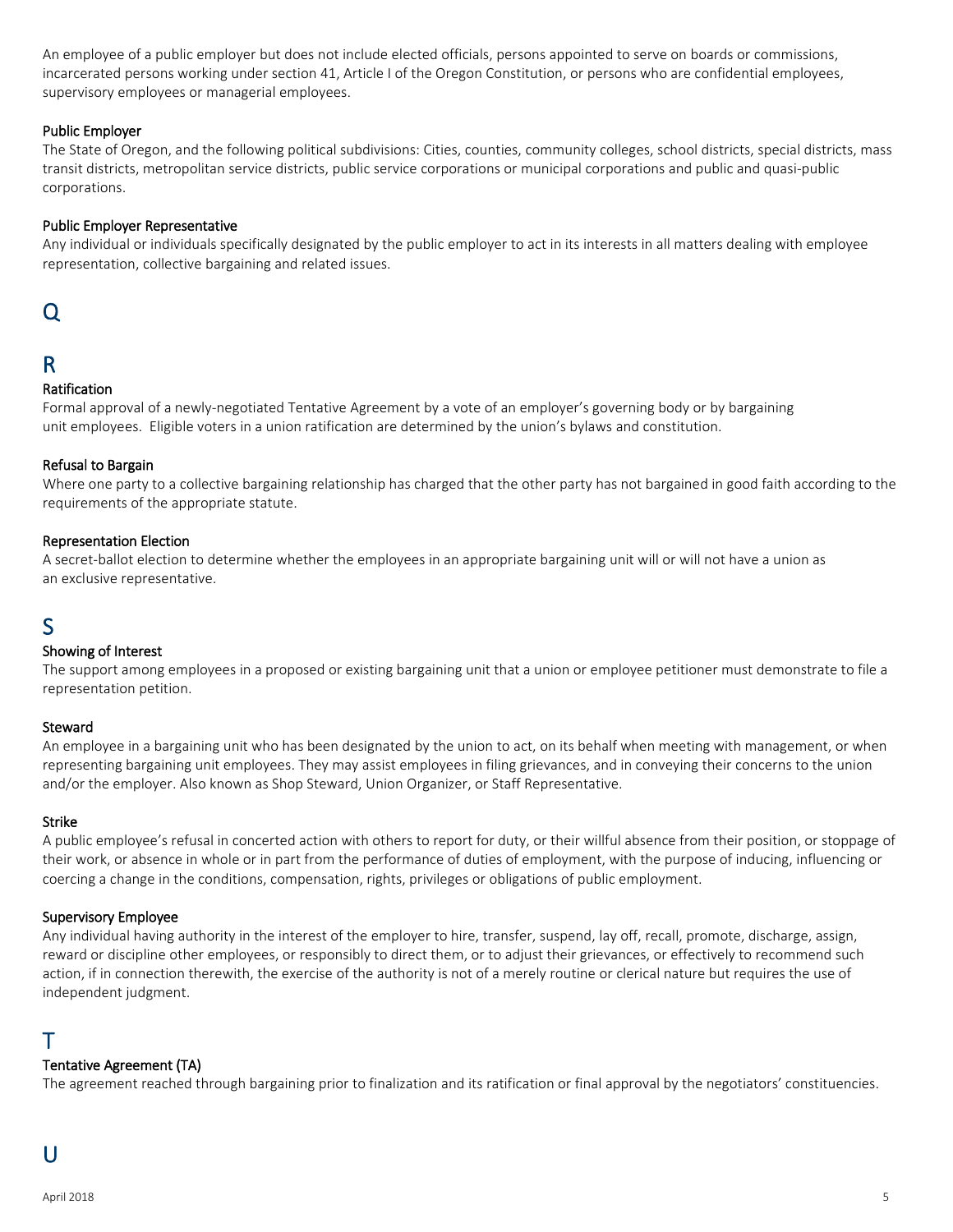An employee of a public employer but does not include elected officials, persons appointed to serve on boards or commissions, incarcerated persons working under section 41, Article I of the Oregon Constitution, or persons who are confidential employees, supervisory employees or managerial employees.

#### Public Employer

The State of Oregon, and the following political subdivisions: Cities, counties, community colleges, school districts, special districts, mass transit districts, metropolitan service districts, public service corporations or municipal corporations and public and quasi-public corporations.

#### Public Employer Representative

Any individual or individuals specifically designated by the public employer to act in its interests in all matters dealing with employee representation, collective bargaining and related issues.

### Q

### <span id="page-4-0"></span>R

#### Ratification

Formal approval of a newly-negotiated Tentative Agreement by a vote of an employer's governing body or by bargaining unit employees. Eligible voters in a union ratification are determined by the union's bylaws and constitution.

#### Refusal to Bargain

Where one party to a collective bargaining relationship has charged that the other party has not bargained in good faith according to the requirements of the appropriate statute.

#### Representation Election

A secret-ballot election to determine whether the employees in an appropriate bargaining unit will or will not have a union as an exclusive representative.

### <span id="page-4-1"></span>S

#### Showing of Interest

The support among employees in a proposed or existing bargaining unit that a union or employee petitioner must demonstrate to file a representation petition.

#### Steward

An employee in a bargaining unit who has been designated by the union to act, on its behalf when meeting with management, or when representing bargaining unit employees. They may assist employees in filing grievances, and in conveying their concerns to the union and/or the employer. Also known as Shop Steward, Union Organizer, or Staff Representative.

#### Strike

A public employee's refusal in concerted action with others to report for duty, or their willful absence from their position, or stoppage of their work, or absence in whole or in part from the performance of duties of employment, with the purpose of inducing, influencing or coercing a change in the conditions, compensation, rights, privileges or obligations of public employment.

#### Supervisory Employee

Any individual having authority in the interest of the employer to hire, transfer, suspend, lay off, recall, promote, discharge, assign, reward or discipline other employees, or responsibly to direct them, or to adjust their grievances, or effectively to recommend such action, if in connection therewith, the exercise of the authority is not of a merely routine or clerical nature but requires the use of independent judgment.

### <span id="page-4-2"></span>T

#### Tentative Agreement (TA)

<span id="page-4-3"></span>The agreement reached through bargaining prior to finalization and its ratification or final approval by the negotiators' constituencies.